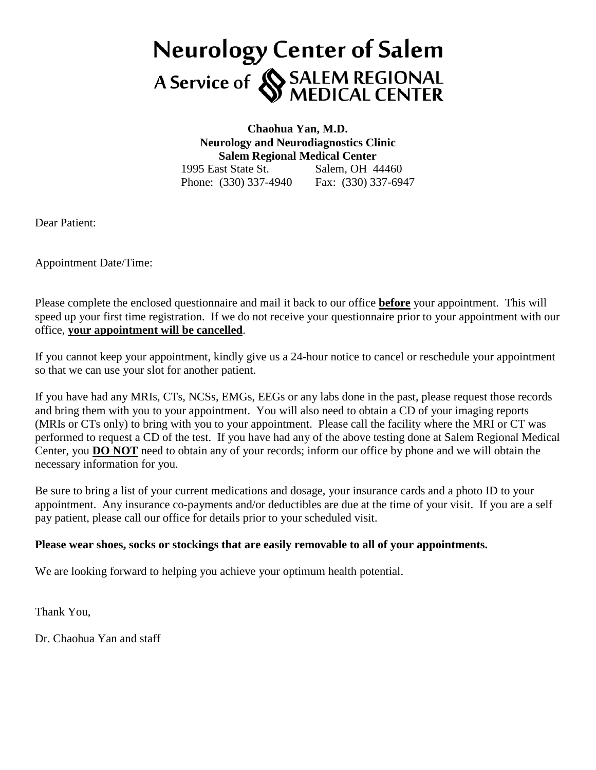# **Neurology Center of Salem** A Service of SALEM REGIONAL<br>MEDICAL CENTER

**Chaohua Yan, M.D. Neurology and Neurodiagnostics Clinic Salem Regional Medical Center** 1995 East State St. Salem, OH 44460 Phone: (330) 337-4940 Fax: (330) 337-6947

Dear Patient:

Appointment Date/Time:

Please complete the enclosed questionnaire and mail it back to our office **before** your appointment. This will speed up your first time registration. If we do not receive your questionnaire prior to your appointment with our office, **your appointment will be cancelled**.

If you cannot keep your appointment, kindly give us a 24-hour notice to cancel or reschedule your appointment so that we can use your slot for another patient.

If you have had any MRIs, CTs, NCSs, EMGs, EEGs or any labs done in the past, please request those records and bring them with you to your appointment. You will also need to obtain a CD of your imaging reports (MRIs or CTs only) to bring with you to your appointment. Please call the facility where the MRI or CT was performed to request a CD of the test. If you have had any of the above testing done at Salem Regional Medical Center, you **DO NOT** need to obtain any of your records; inform our office by phone and we will obtain the necessary information for you.

Be sure to bring a list of your current medications and dosage, your insurance cards and a photo ID to your appointment. Any insurance co-payments and/or deductibles are due at the time of your visit. If you are a self pay patient, please call our office for details prior to your scheduled visit.

### **Please wear shoes, socks or stockings that are easily removable to all of your appointments.**

We are looking forward to helping you achieve your optimum health potential.

Thank You,

Dr. Chaohua Yan and staff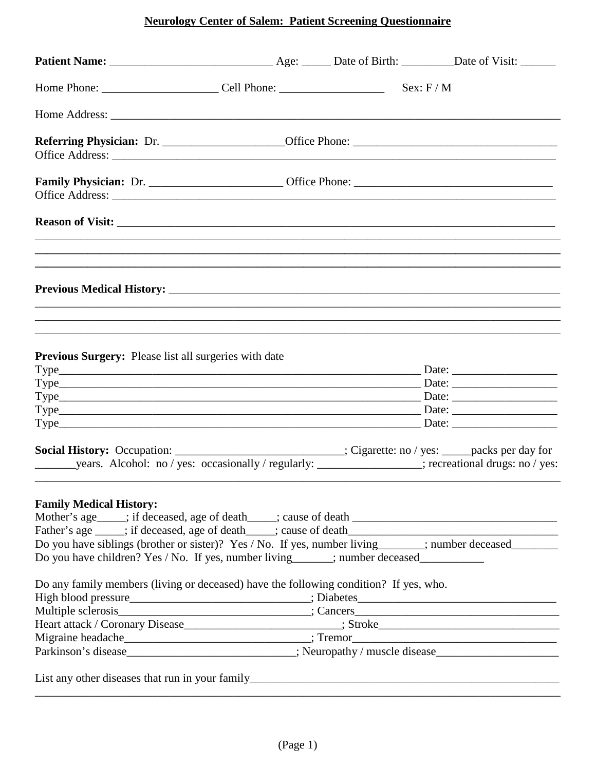# **Neurology Center of Salem: Patient Screening Questionnaire**

|                                                                                                                                                                                                                                   |  | Sex: F/M |
|-----------------------------------------------------------------------------------------------------------------------------------------------------------------------------------------------------------------------------------|--|----------|
|                                                                                                                                                                                                                                   |  |          |
|                                                                                                                                                                                                                                   |  |          |
|                                                                                                                                                                                                                                   |  |          |
|                                                                                                                                                                                                                                   |  |          |
|                                                                                                                                                                                                                                   |  |          |
|                                                                                                                                                                                                                                   |  |          |
| <b>Previous Surgery:</b> Please list all surgeries with date                                                                                                                                                                      |  |          |
| $Type$ Date: Date:                                                                                                                                                                                                                |  |          |
| Social History: Occupation: _________________________; Cigarette: no / yes: ____packs per day for                                                                                                                                 |  |          |
| <b>Family Medical History:</b><br>Do you have siblings (brother or sister)? Yes / No. If yes, number living______; number deceased_______<br>Do you have children? Yes / No. If yes, number living_____; number deceased_________ |  |          |
| Do any family members (living or deceased) have the following condition? If yes, who.                                                                                                                                             |  |          |
| Parkinson's disease____________________________; Neuropathy / muscle disease________________________                                                                                                                              |  |          |
|                                                                                                                                                                                                                                   |  |          |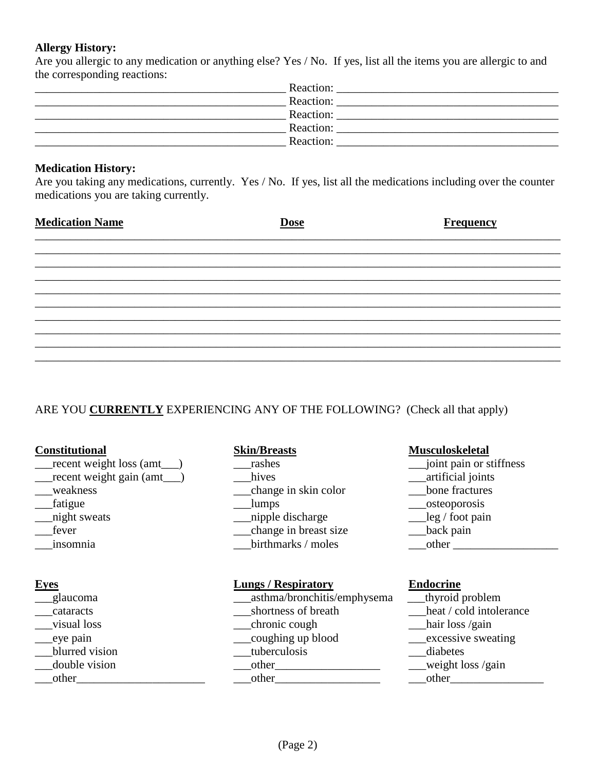### **Allergy History:**

Are you allergic to any medication or anything else? Yes / No. If yes, list all the items you are allergic to and the corresponding reactions:

| Reaction: |  |
|-----------|--|
| Reaction: |  |
| Reaction: |  |
| Reaction: |  |
| Reaction: |  |
|           |  |

### **Medication History:**

Are you taking any medications, currently. Yes / No. If yes, list all the medications including over the counter medications you are taking currently.

| <b>Dose</b> | <b>Frequency</b> |
|-------------|------------------|
|             |                  |
|             |                  |
|             |                  |
|             |                  |
|             |                  |
|             |                  |
|             |                  |
|             |                  |
|             |                  |
|             |                  |

## ARE YOU **CURRENTLY** EXPERIENCING ANY OF THE FOLLOWING? (Check all that apply)

| <b>Constitutional</b>   | <b>Skin/Breasts</b>         | <b>Musculoskeletal</b>          |
|-------------------------|-----------------------------|---------------------------------|
| recent weight loss (amt | rashes                      | joint pain or stiffness         |
| recent weight gain (amt | hives                       | artificial joints               |
| weakness                | change in skin color        | bone fractures                  |
| fatigue                 | lumps                       | osteoporosis                    |
| night sweats            | nipple discharge            | $\text{leg} / \text{foot pain}$ |
| fever                   | change in breast size       | back pain                       |
| insomnia                | birthmarks / moles          | other                           |
| <b>Eves</b>             | <b>Lungs / Respiratory</b>  | <b>Endocrine</b>                |
| glaucoma                | asthma/bronchitis/emphysema | thyroid problem                 |
| cataracts               | shortness of breath         | heat / cold intolerance         |
| visual loss             | chronic cough               | hair loss /gain                 |
| eye pain                | coughing up blood           | excessive sweating              |
| blurred vision          | tuberculosis                | diabetes                        |
| double vision           | other                       | weight loss /gain               |
| other                   | other                       | other                           |